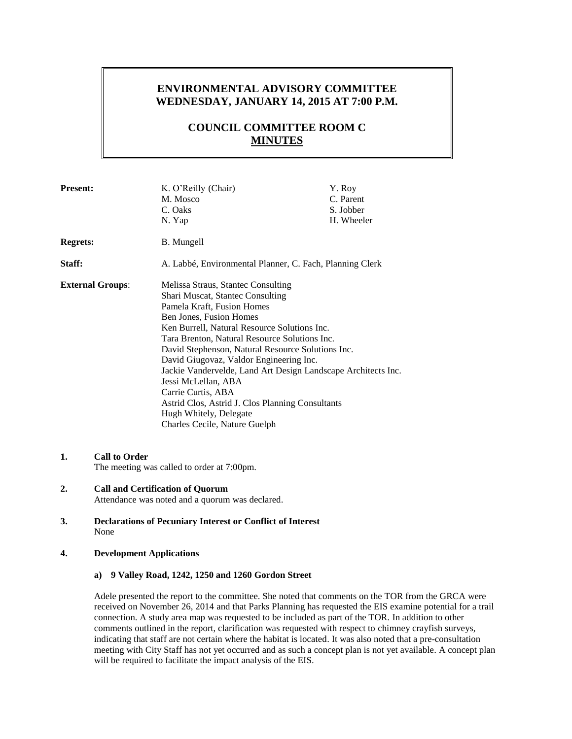## **ENVIRONMENTAL ADVISORY COMMITTEE WEDNESDAY, JANUARY 14, 2015 AT 7:00 P.M.**

# **COUNCIL COMMITTEE ROOM C MINUTES**

| <b>Present:</b>         | K. O'Reilly (Chair)<br>M. Mosco<br>C. Oaks<br>N. Yap                                                                                                                                                                                                                                                                                                                                                                                                                                                                                                          | Y. Roy<br>C. Parent<br>S. Jobber<br>H. Wheeler |
|-------------------------|---------------------------------------------------------------------------------------------------------------------------------------------------------------------------------------------------------------------------------------------------------------------------------------------------------------------------------------------------------------------------------------------------------------------------------------------------------------------------------------------------------------------------------------------------------------|------------------------------------------------|
| <b>Regrets:</b>         | B. Mungell                                                                                                                                                                                                                                                                                                                                                                                                                                                                                                                                                    |                                                |
| Staff:                  | A. Labbé, Environmental Planner, C. Fach, Planning Clerk                                                                                                                                                                                                                                                                                                                                                                                                                                                                                                      |                                                |
| <b>External Groups:</b> | Melissa Straus, Stantec Consulting<br>Shari Muscat, Stantec Consulting<br>Pamela Kraft, Fusion Homes<br>Ben Jones, Fusion Homes<br>Ken Burrell, Natural Resource Solutions Inc.<br>Tara Brenton, Natural Resource Solutions Inc.<br>David Stephenson, Natural Resource Solutions Inc.<br>David Giugovaz, Valdor Engineering Inc.<br>Jackie Vandervelde, Land Art Design Landscape Architects Inc.<br>Jessi McLellan, ABA<br>Carrie Curtis, ABA<br>Astrid Clos, Astrid J. Clos Planning Consultants<br>Hugh Whitely, Delegate<br>Charles Cecile, Nature Guelph |                                                |

- **1. Call to Order** The meeting was called to order at 7:00pm.
- **2. Call and Certification of Quorum** Attendance was noted and a quorum was declared.
- **3. Declarations of Pecuniary Interest or Conflict of Interest** None

#### **4. Development Applications**

## **a) 9 Valley Road, 1242, 1250 and 1260 Gordon Street**

Adele presented the report to the committee. She noted that comments on the TOR from the GRCA were received on November 26, 2014 and that Parks Planning has requested the EIS examine potential for a trail connection. A study area map was requested to be included as part of the TOR. In addition to other comments outlined in the report, clarification was requested with respect to chimney crayfish surveys, indicating that staff are not certain where the habitat is located. It was also noted that a pre-consultation meeting with City Staff has not yet occurred and as such a concept plan is not yet available. A concept plan will be required to facilitate the impact analysis of the EIS.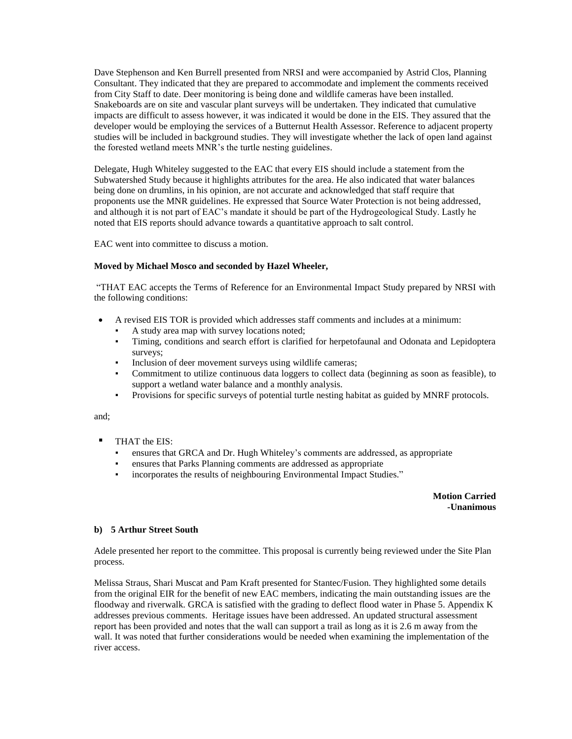Dave Stephenson and Ken Burrell presented from NRSI and were accompanied by Astrid Clos, Planning Consultant. They indicated that they are prepared to accommodate and implement the comments received from City Staff to date. Deer monitoring is being done and wildlife cameras have been installed. Snakeboards are on site and vascular plant surveys will be undertaken. They indicated that cumulative impacts are difficult to assess however, it was indicated it would be done in the EIS. They assured that the developer would be employing the services of a Butternut Health Assessor. Reference to adjacent property studies will be included in background studies. They will investigate whether the lack of open land against the forested wetland meets MNR's the turtle nesting guidelines.

Delegate, Hugh Whiteley suggested to the EAC that every EIS should include a statement from the Subwatershed Study because it highlights attributes for the area. He also indicated that water balances being done on drumlins, in his opinion, are not accurate and acknowledged that staff require that proponents use the MNR guidelines. He expressed that Source Water Protection is not being addressed, and although it is not part of EAC's mandate it should be part of the Hydrogeological Study. Lastly he noted that EIS reports should advance towards a quantitative approach to salt control.

EAC went into committee to discuss a motion.

#### **Moved by Michael Mosco and seconded by Hazel Wheeler,**

"THAT EAC accepts the Terms of Reference for an Environmental Impact Study prepared by NRSI with the following conditions:

- A revised EIS TOR is provided which addresses staff comments and includes at a minimum:
	- A study area map with survey locations noted;
	- Timing, conditions and search effort is clarified for herpetofaunal and Odonata and Lepidoptera surveys;
	- Inclusion of deer movement surveys using wildlife cameras;
	- Commitment to utilize continuous data loggers to collect data (beginning as soon as feasible), to support a wetland water balance and a monthly analysis.
	- Provisions for specific surveys of potential turtle nesting habitat as guided by MNRF protocols.

and;

- THAT the EIS:
	- ensures that GRCA and Dr. Hugh Whiteley's comments are addressed, as appropriate
	- ensures that Parks Planning comments are addressed as appropriate
	- incorporates the results of neighbouring Environmental Impact Studies."

**Motion Carried -Unanimous**

#### **b) 5 Arthur Street South**

Adele presented her report to the committee. This proposal is currently being reviewed under the Site Plan process.

Melissa Straus, Shari Muscat and Pam Kraft presented for Stantec/Fusion. They highlighted some details from the original EIR for the benefit of new EAC members, indicating the main outstanding issues are the floodway and riverwalk. GRCA is satisfied with the grading to deflect flood water in Phase 5. Appendix K addresses previous comments. Heritage issues have been addressed. An updated structural assessment report has been provided and notes that the wall can support a trail as long as it is 2.6 m away from the wall. It was noted that further considerations would be needed when examining the implementation of the river access.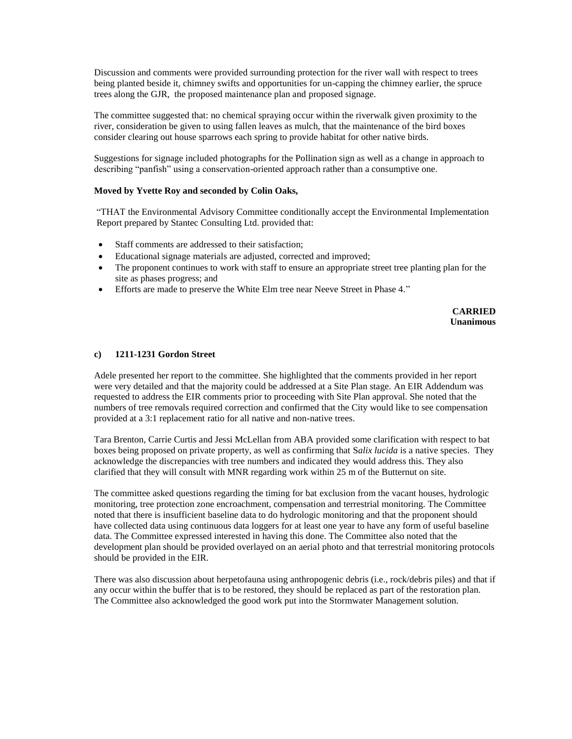Discussion and comments were provided surrounding protection for the river wall with respect to trees being planted beside it, chimney swifts and opportunities for un-capping the chimney earlier, the spruce trees along the GJR, the proposed maintenance plan and proposed signage.

The committee suggested that: no chemical spraying occur within the riverwalk given proximity to the river, consideration be given to using fallen leaves as mulch, that the maintenance of the bird boxes consider clearing out house sparrows each spring to provide habitat for other native birds.

Suggestions for signage included photographs for the Pollination sign as well as a change in approach to describing "panfish" using a conservation-oriented approach rather than a consumptive one.

#### **Moved by Yvette Roy and seconded by Colin Oaks,**

"THAT the Environmental Advisory Committee conditionally accept the Environmental Implementation Report prepared by Stantec Consulting Ltd. provided that:

- Staff comments are addressed to their satisfaction:
- Educational signage materials are adjusted, corrected and improved;
- The proponent continues to work with staff to ensure an appropriate street tree planting plan for the site as phases progress; and
- Efforts are made to preserve the White Elm tree near Neeve Street in Phase 4."

**CARRIED Unanimous**

#### **c) 1211-1231 Gordon Street**

Adele presented her report to the committee. She highlighted that the comments provided in her report were very detailed and that the majority could be addressed at a Site Plan stage. An EIR Addendum was requested to address the EIR comments prior to proceeding with Site Plan approval. She noted that the numbers of tree removals required correction and confirmed that the City would like to see compensation provided at a 3:1 replacement ratio for all native and non-native trees.

Tara Brenton, Carrie Curtis and Jessi McLellan from ABA provided some clarification with respect to bat boxes being proposed on private property, as well as confirming that S*alix lucida* is a native species. They acknowledge the discrepancies with tree numbers and indicated they would address this. They also clarified that they will consult with MNR regarding work within 25 m of the Butternut on site.

The committee asked questions regarding the timing for bat exclusion from the vacant houses, hydrologic monitoring, tree protection zone encroachment, compensation and terrestrial monitoring. The Committee noted that there is insufficient baseline data to do hydrologic monitoring and that the proponent should have collected data using continuous data loggers for at least one year to have any form of useful baseline data. The Committee expressed interested in having this done. The Committee also noted that the development plan should be provided overlayed on an aerial photo and that terrestrial monitoring protocols should be provided in the EIR.

There was also discussion about herpetofauna using anthropogenic debris (i.e., rock/debris piles) and that if any occur within the buffer that is to be restored, they should be replaced as part of the restoration plan. The Committee also acknowledged the good work put into the Stormwater Management solution.